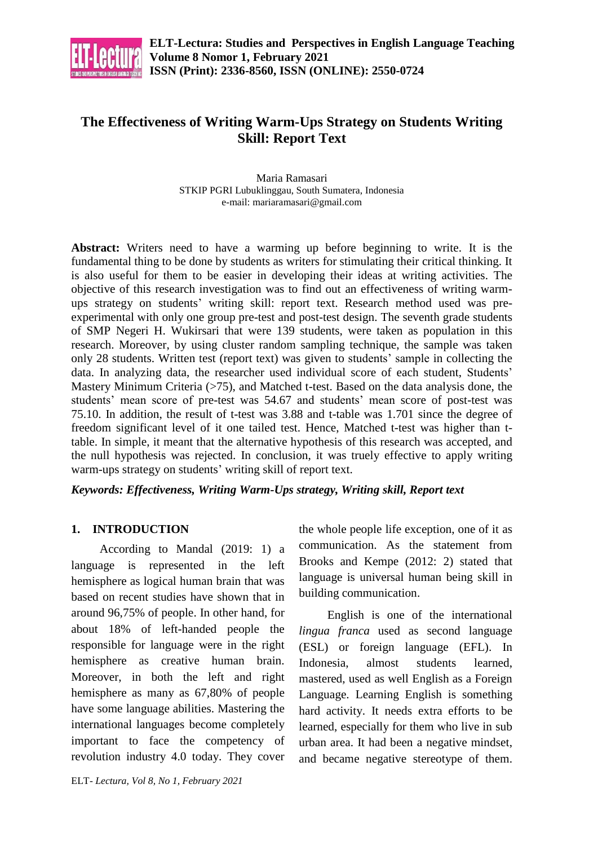

# **The Effectiveness of Writing Warm-Ups Strategy on Students Writing Skill: Report Text**

Maria Ramasari STKIP PGRI Lubuklinggau, South Sumatera, Indonesia e-mail[: mariaramasari@gmail.com](mailto:mariaramasari@gmail.com)

**Abstract:** Writers need to have a warming up before beginning to write. It is the fundamental thing to be done by students as writers for stimulating their critical thinking. It is also useful for them to be easier in developing their ideas at writing activities. The objective of this research investigation was to find out an effectiveness of writing warmups strategy on students' writing skill: report text. Research method used was preexperimental with only one group pre-test and post-test design. The seventh grade students of SMP Negeri H. Wukirsari that were 139 students, were taken as population in this research. Moreover, by using cluster random sampling technique, the sample was taken only 28 students. Written test (report text) was given to students' sample in collecting the data. In analyzing data, the researcher used individual score of each student, Students' Mastery Minimum Criteria  $($ >75 $)$ , and Matched t-test. Based on the data analysis done, the students' mean score of pre-test was 54.67 and students' mean score of post-test was 75.10. In addition, the result of t-test was 3.88 and t-table was 1.701 since the degree of freedom significant level of it one tailed test. Hence, Matched t-test was higher than ttable. In simple, it meant that the alternative hypothesis of this research was accepted, and the null hypothesis was rejected. In conclusion, it was truely effective to apply writing warm-ups strategy on students' writing skill of report text.

*Keywords: Effectiveness, Writing Warm-Ups strategy, Writing skill, Report text*

# **1. INTRODUCTION**

According to Mandal (2019: 1) a language is represented in the left hemisphere as logical human brain that was based on recent studies have shown that in around 96,75% of people. In other hand, for about 18% of left-handed people the responsible for language were in the right hemisphere as creative human brain. Moreover, in both the left and right hemisphere as many as 67,80% of people have some language abilities. Mastering the international languages become completely important to face the competency of revolution industry 4.0 today. They cover the whole people life exception, one of it as communication. As the statement from Brooks and Kempe (2012: 2) stated that language is universal human being skill in building communication.

English is one of the international *lingua franca* used as second language (ESL) or foreign language (EFL). In Indonesia, almost students learned, mastered, used as well English as a Foreign Language. Learning English is something hard activity. It needs extra efforts to be learned, especially for them who live in sub urban area. It had been a negative mindset, and became negative stereotype of them.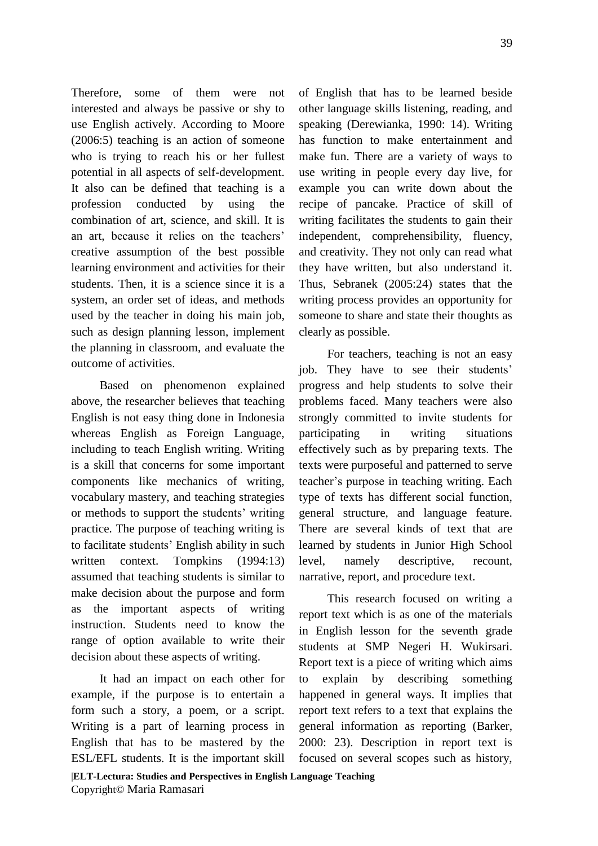Therefore, some of them were not interested and always be passive or shy to use English actively. According to Moore (2006:5) teaching is an action of someone who is trying to reach his or her fullest potential in all aspects of self-development. It also can be defined that teaching is a profession conducted by using the combination of art, science, and skill. It is an art, because it relies on the teachers' creative assumption of the best possible learning environment and activities for their students. Then, it is a science since it is a system, an order set of ideas, and methods used by the teacher in doing his main job, such as design planning lesson, implement the planning in classroom, and evaluate the outcome of activities.

Based on phenomenon explained above, the researcher believes that teaching English is not easy thing done in Indonesia whereas English as Foreign Language, including to teach English writing. Writing is a skill that concerns for some important components like mechanics of writing, vocabulary mastery, and teaching strategies or methods to support the students' writing practice. The purpose of teaching writing is to facilitate students' English ability in such written context. Tompkins (1994:13) assumed that teaching students is similar to make decision about the purpose and form as the important aspects of writing instruction. Students need to know the range of option available to write their decision about these aspects of writing.

It had an impact on each other for example, if the purpose is to entertain a form such a story, a poem, or a script. Writing is a part of learning process in English that has to be mastered by the ESL/EFL students. It is the important skill

of English that has to be learned beside other language skills listening, reading, and speaking (Derewianka, 1990: 14). Writing has function to make entertainment and make fun. There are a variety of ways to use writing in people every day live, for example you can write down about the recipe of pancake. Practice of skill of writing facilitates the students to gain their independent, comprehensibility, fluency, and creativity. They not only can read what they have written, but also understand it. Thus, Sebranek (2005:24) states that the writing process provides an opportunity for someone to share and state their thoughts as clearly as possible.

For teachers, teaching is not an easy job. They have to see their students' progress and help students to solve their problems faced. Many teachers were also strongly committed to invite students for participating in writing situations effectively such as by preparing texts. The texts were purposeful and patterned to serve teacher's purpose in teaching writing. Each type of texts has different social function, general structure, and language feature. There are several kinds of text that are learned by students in Junior High School level, namely descriptive, recount, narrative, report, and procedure text.

This research focused on writing a report text which is as one of the materials in English lesson for the seventh grade students at SMP Negeri H. Wukirsari. Report text is a piece of writing which aims to explain by describing something happened in general ways. It implies that report text refers to a text that explains the general information as reporting (Barker, 2000: 23). Description in report text is focused on several scopes such as history,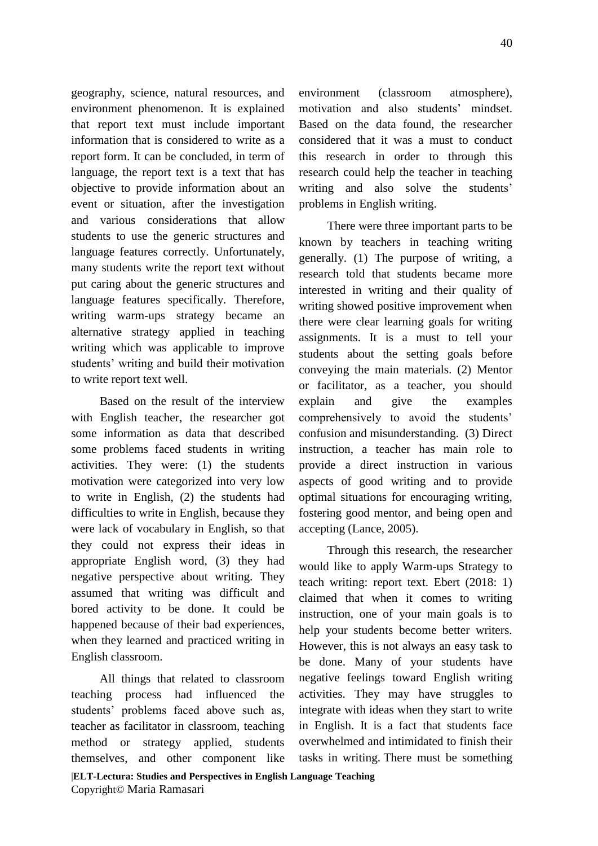geography, science, natural resources, and environment phenomenon. It is explained that report text must include important information that is considered to write as a report form. It can be concluded, in term of language, the report text is a text that has objective to provide information about an event or situation, after the investigation and various considerations that allow students to use the generic structures and language features correctly. Unfortunately, many students write the report text without put caring about the generic structures and language features specifically. Therefore, writing warm-ups strategy became an alternative strategy applied in teaching writing which was applicable to improve students' writing and build their motivation to write report text well.

Based on the result of the interview with English teacher, the researcher got some information as data that described some problems faced students in writing activities. They were: (1) the students motivation were categorized into very low to write in English, (2) the students had difficulties to write in English, because they were lack of vocabulary in English, so that they could not express their ideas in appropriate English word, (3) they had negative perspective about writing. They assumed that writing was difficult and bored activity to be done. It could be happened because of their bad experiences, when they learned and practiced writing in English classroom.

All things that related to classroom teaching process had influenced the students' problems faced above such as, teacher as facilitator in classroom, teaching method or strategy applied, students themselves, and other component like

environment (classroom atmosphere), motivation and also students' mindset. Based on the data found, the researcher considered that it was a must to conduct this research in order to through this research could help the teacher in teaching writing and also solve the students' problems in English writing.

There were three important parts to be known by teachers in teaching writing generally. (1) The purpose of writing, a research told that students became more interested in writing and their quality of writing showed positive improvement when there were clear learning goals for writing assignments. It is a must to tell your students about the setting goals before conveying the main materials. (2) Mentor or facilitator, as a teacher, you should explain and give the examples comprehensively to avoid the students' confusion and misunderstanding. (3) Direct instruction, a teacher has main role to provide a direct instruction in various aspects of good writing and to provide optimal situations for encouraging writing, fostering good mentor, and being open and accepting (Lance, 2005).

Through this research, the researcher would like to apply Warm-ups Strategy to teach writing: report text. Ebert (2018: 1) claimed that when it comes to writing instruction, one of your main goals is to help your students become better writers. However, this is not always an easy task to be done. Many of your students have negative feelings toward English writing activities. They may have struggles to integrate with ideas when they start to write in English. It is a fact that students face overwhelmed and intimidated to finish their tasks in writing. There must be something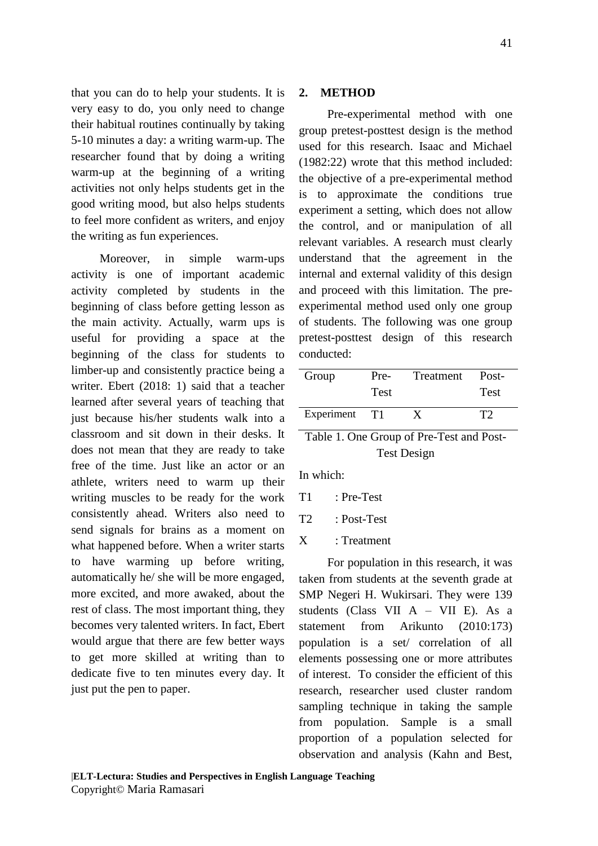that you can do to help your students. It is very easy to do, you only need to change their habitual routines continually by taking 5-10 minutes a day: [a writing warm-up.](https://elementarywritingcoach.com/how-to-increase-writing-confidence/) The researcher found that by doing a writing warm-up at the beginning of a writing activities not only helps students get in the good writing mood, but also helps students to feel more confident as writers, and enjoy the writing as fun experiences.

Moreover, in simple warm-ups activity is one of important academic activity completed by students in the beginning of class before getting lesson as the main activity. Actually, warm ups is useful for providing a space at the beginning of the class for students to limber-up and consistently practice being a writer. Ebert (2018: 1) said that a teacher learned after several years of teaching that just because his/her students walk into a classroom and sit down in their desks. It does not mean that they are ready to take free of the time. Just like an actor or an athlete, writers need to warm up their writing muscles to be ready for the work consistently ahead. Writers also need to send signals for brains as a moment on what happened before. When a writer starts to have warming up before writing, automatically he/ she will be more engaged, more excited, and more awaked, about the rest of class. The most important thing, they becomes very talented writers. In fact, Ebert would argue that there are few better ways to get more skilled at writing than to dedicate five to ten minutes every day. It just put the pen to paper.

## **2. METHOD**

Pre-experimental method with one group pretest-posttest design is the method used for this research. Isaac and Michael (1982:22) wrote that this method included: the objective of a pre-experimental method is to approximate the conditions true experiment a setting, which does not allow the control, and or manipulation of all relevant variables. A research must clearly understand that the agreement in the internal and external validity of this design and proceed with this limitation. The preexperimental method used only one group of students. The following was one group pretest-posttest design of this research conducted:

| Group      | Pre-<br><b>Test</b> | Treatment | Post-<br><b>Test</b> |
|------------|---------------------|-----------|----------------------|
| Experiment | T1                  |           | TŹ                   |

# Table 1. One Group of Pre-Test and Post-Test Design

In which:

- T1 : Pre-Test
- T2 : Post-Test
- X : Treatment

For population in this research, it was taken from students at the seventh grade at SMP Negeri H. Wukirsari. They were 139 students (Class VII A – VII E). As a statement from Arikunto (2010:173) population is a set/ correlation of all elements possessing one or more attributes of interest. To consider the efficient of this research, researcher used cluster random sampling technique in taking the sample from population. Sample is a small proportion of a population selected for observation and analysis (Kahn and Best,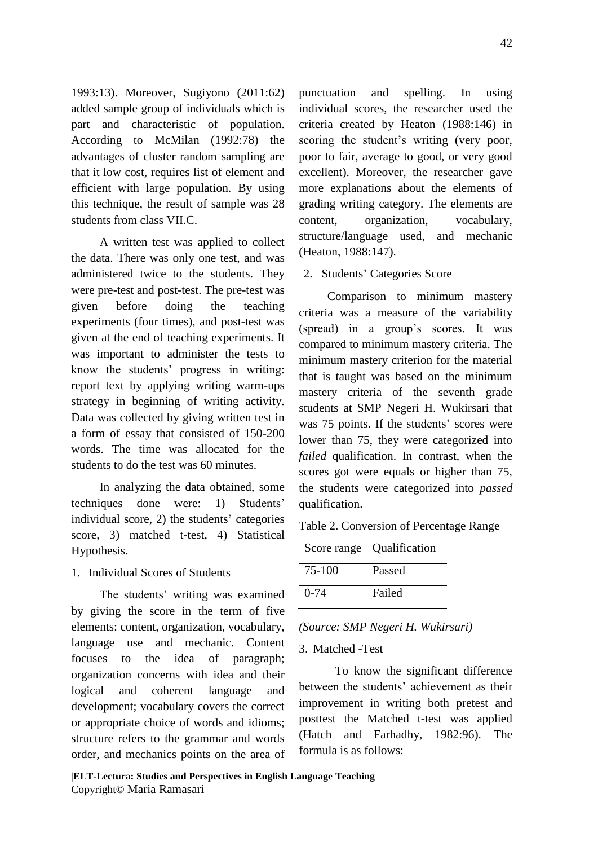1993:13). Moreover, Sugiyono (2011:62) added sample group of individuals which is part and characteristic of population. According to McMilan (1992:78) the advantages of cluster random sampling are that it low cost, requires list of element and efficient with large population. By using this technique, the result of sample was 28 students from class VII.C.

A written test was applied to collect the data. There was only one test, and was administered twice to the students. They were pre-test and post-test. The pre-test was given before doing the teaching experiments (four times), and post-test was given at the end of teaching experiments. It was important to administer the tests to know the students' progress in writing: report text by applying writing warm-ups strategy in beginning of writing activity. Data was collected by giving written test in a form of essay that consisted of 150-200 words. The time was allocated for the students to do the test was 60 minutes.

In analyzing the data obtained, some techniques done were: 1) Students' individual score, 2) the students' categories score, 3) matched t-test, 4) Statistical Hypothesis.

1. Individual Scores of Students

The students' writing was examined by giving the score in the term of five elements: content, organization, vocabulary, language use and mechanic. Content focuses to the idea of paragraph; organization concerns with idea and their logical and coherent language and development; vocabulary covers the correct or appropriate choice of words and idioms; structure refers to the grammar and words order, and mechanics points on the area of punctuation and spelling. In using individual scores, the researcher used the criteria created by Heaton (1988:146) in scoring the student's writing (very poor, poor to fair, average to good, or very good excellent). Moreover, the researcher gave more explanations about the elements of grading writing category. The elements are content, organization, vocabulary, structure/language used, and mechanic (Heaton, 1988:147).

2. Students' Categories Score

Comparison to minimum mastery criteria was a measure of the variability (spread) in a group's scores. It was compared to minimum mastery criteria. The minimum mastery criterion for the material that is taught was based on the minimum mastery criteria of the seventh grade students at SMP Negeri H. Wukirsari that was 75 points. If the students' scores were lower than 75, they were categorized into *failed* qualification. In contrast, when the scores got were equals or higher than 75, the students were categorized into *passed*  qualification.

Table 2. Conversion of Percentage Range

|          | Score range Qualification |
|----------|---------------------------|
| 75-100   | Passed                    |
| $0 - 74$ | Failed                    |

*(Source: SMP Negeri H. Wukirsari)*

## 3. Matched -Test

To know the significant difference between the students' achievement as their improvement in writing both pretest and posttest the Matched t-test was applied (Hatch and Farhadhy, 1982:96). The formula is as follows: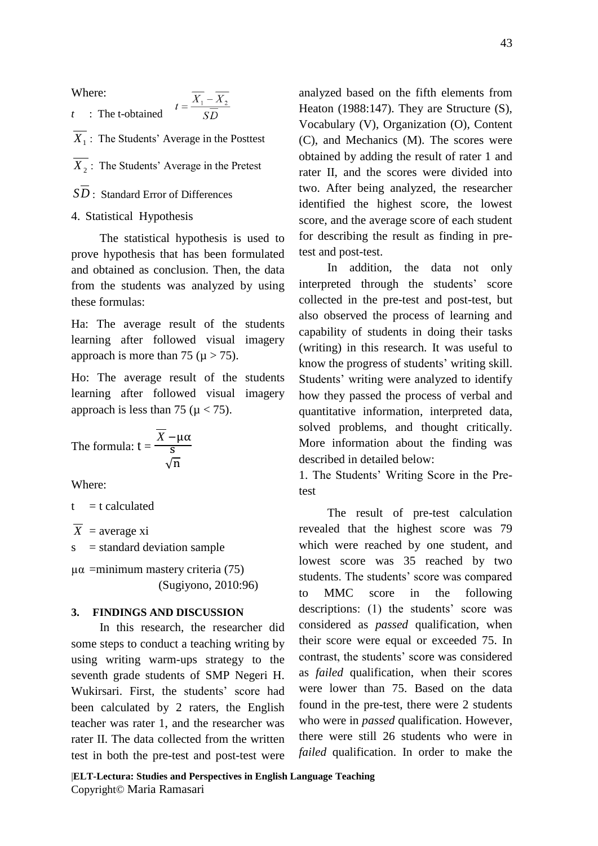Where:

*t* : The t-obtained

*X*1 : The Students' Average in the Posttest

- *X*<sub>2</sub>: The Students' Average in the Pretest
- *SD* : Standard Error of Differences

#### 4. Statistical Hypothesis

The statistical hypothesis is used to prove hypothesis that has been formulated and obtained as conclusion. Then, the data from the students was analyzed by using these formulas:

Ha: The average result of the students learning after followed visual imagery approach is more than 75 ( $\mu$  > 75).

Ho: The average result of the students learning after followed visual imagery approach is less than 75 ( $\mu$  < 75).

The formula: 
$$
t = \frac{\overline{X} - \mu \alpha}{s}
$$

Where:

 $t = t$  calculated

*X* = average xi

 $s = standard deviation sample$ 

µα =minimum mastery criteria (75) (Sugiyono, 2010:96)

#### **3. FINDINGS AND DISCUSSION**

In this research, the researcher did some steps to conduct a teaching writing by using writing warm-ups strategy to the seventh grade students of SMP Negeri H. Wukirsari. First, the students' score had been calculated by 2 raters, the English teacher was rater 1, and the researcher was rater II. The data collected from the written test in both the pre-test and post-test were analyzed based on the fifth elements from Heaton (1988:147). They are Structure (S), Vocabulary (V), Organization (O), Content (C), and Mechanics (M). The scores were obtained by adding the result of rater 1 and rater II, and the scores were divided into two. After being analyzed, the researcher identified the highest score, the lowest score, and the average score of each student for describing the result as finding in pretest and post-test.

In addition, the data not only interpreted through the students' score collected in the pre-test and post-test, but also observed the process of learning and capability of students in doing their tasks (writing) in this research. It was useful to know the progress of students' writing skill. Students' writing were analyzed to identify how they passed the process of verbal and quantitative information, interpreted data, solved problems, and thought critically. More information about the finding was described in detailed below:

1. The Students' Writing Score in the Pretest

The result of pre-test calculation revealed that the highest score was 79 which were reached by one student, and lowest score was 35 reached by two students. The students' score was compared to MMC score in the following descriptions: (1) the students' score was considered as *passed* qualification, when their score were equal or exceeded 75. In contrast, the students' score was considered as *failed* qualification, when their scores were lower than 75. Based on the data found in the pre-test, there were 2 students who were in *passed* qualification. However, there were still 26 students who were in *failed* qualification. In order to make the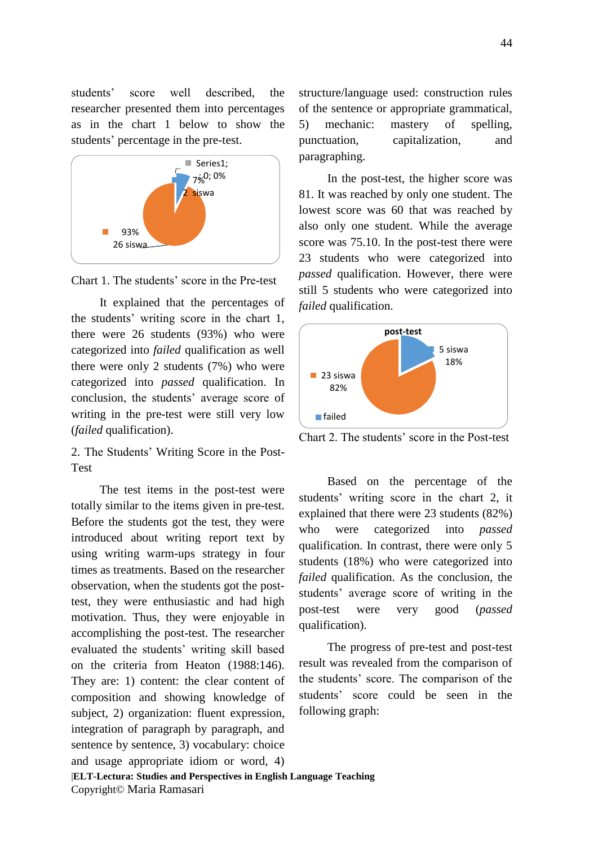students' score well described, the researcher presented them into percentages as in the chart 1 below to show the students' percentage in the pre-test.



Chart 1. The students' score in the Pre-test

It explained that the percentages of the students' writing score in the chart 1, there were 26 students (93%) who were categorized into *failed* qualification as well there were only 2 students (7%) who were categorized into *passed* qualification. In conclusion, the students' average score of writing in the pre-test were still very low (*failed* qualification).

2. The Students' Writing Score in the Post-Test

The test items in the post-test were totally similar to the items given in pre-test. Before the students got the test, they were introduced about writing report text by using writing warm-ups strategy in four times as treatments. Based on the researcher observation, when the students got the posttest, they were enthusiastic and had high motivation. Thus, they were enjoyable in accomplishing the post-test. The researcher evaluated the students' writing skill based on the criteria from Heaton (1988:146). They are: 1) content: the clear content of composition and showing knowledge of subject, 2) organization: fluent expression, integration of paragraph by paragraph, and sentence by sentence, 3) vocabulary: choice and usage appropriate idiom or word, 4)

structure/language used: construction rules of the sentence or appropriate grammatical, 5) mechanic: mastery of spelling, punctuation, capitalization, and paragraphing.

In the post-test, the higher score was 81. It was reached by only one student. The lowest score was 60 that was reached by also only one student. While the average score was 75.10. In the post-test there were 23 students who were categorized into *passed* qualification. However, there were still 5 students who were categorized into *failed* qualification.



Chart 2. The students' score in the Post-test

Based on the percentage of the students' writing score in the chart 2, it explained that there were 23 students (82%) who were categorized into *passed* qualification. In contrast, there were only 5 students (18%) who were categorized into *failed* qualification. As the conclusion, the students' average score of writing in the post-test were very good (*passed* qualification).

The progress of pre-test and post-test result was revealed from the comparison of the students' score. The comparison of the students' score could be seen in the following graph:

|**ELT-Lectura: Studies and Perspectives in English Language Teaching** Copyright© Maria Ramasari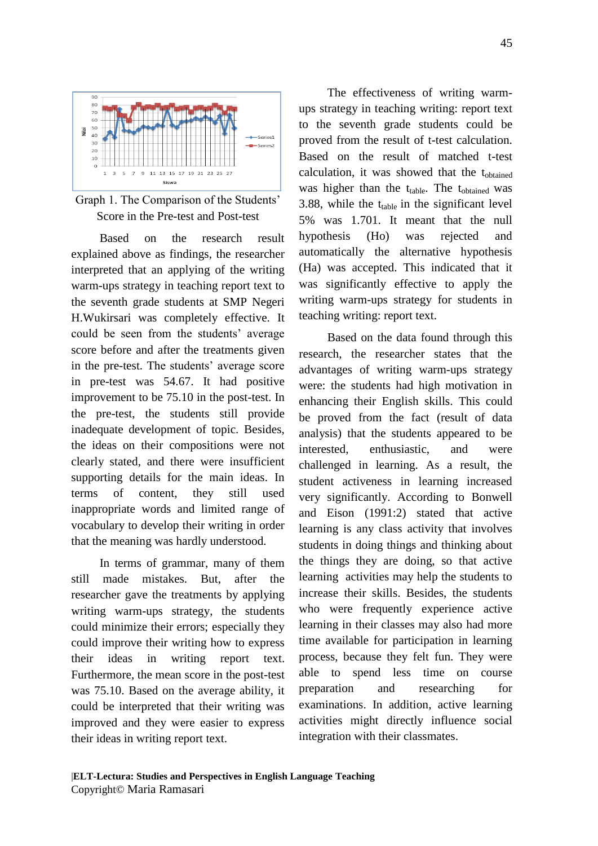

Graph 1. The Comparison of the Students' Score in the Pre-test and Post-test

Based on the research result explained above as findings, the researcher interpreted that an applying of the writing warm-ups strategy in teaching report text to the seventh grade students at SMP Negeri H.Wukirsari was completely effective. It could be seen from the students' average score before and after the treatments given in the pre-test. The students' average score in pre-test was 54.67. It had positive improvement to be 75.10 in the post-test. In the pre-test, the students still provide inadequate development of topic. Besides, the ideas on their compositions were not clearly stated, and there were insufficient supporting details for the main ideas. In terms of content, they still used inappropriate words and limited range of vocabulary to develop their writing in order that the meaning was hardly understood.

In terms of grammar, many of them still made mistakes. But, after the researcher gave the treatments by applying writing warm-ups strategy, the students could minimize their errors; especially they could improve their writing how to express their ideas in writing report text. Furthermore, the mean score in the post-test was 75.10. Based on the average ability, it could be interpreted that their writing was improved and they were easier to express their ideas in writing report text.

The effectiveness of writing warmups strategy in teaching writing: report text to the seventh grade students could be proved from the result of t-test calculation. Based on the result of matched t-test calculation, it was showed that the tobtained was higher than the  $t_{table}$ . The  $t_{obtained}$  was 3.88, while the  $t_{table}$  in the significant level 5% was 1.701. It meant that the null hypothesis (Ho) was rejected and automatically the alternative hypothesis (Ha) was accepted. This indicated that it was significantly effective to apply the writing warm-ups strategy for students in teaching writing: report text.

Based on the data found through this research, the researcher states that the advantages of writing warm-ups strategy were: the students had high motivation in enhancing their English skills. This could be proved from the fact (result of data analysis) that the students appeared to be interested, enthusiastic, and were challenged in learning. As a result, the student activeness in learning increased very significantly. According to Bonwell and Eison (1991:2) stated that active learning is any class activity that involves students in doing things and thinking about the things they are doing, so that active learning activities may help the students to increase their skills. Besides, the students who were frequently experience active learning in their classes may also had more time available for participation in learning process, because they felt fun. They were able to spend less time on course preparation and researching for examinations. In addition, active learning activities might directly influence social integration with their classmates.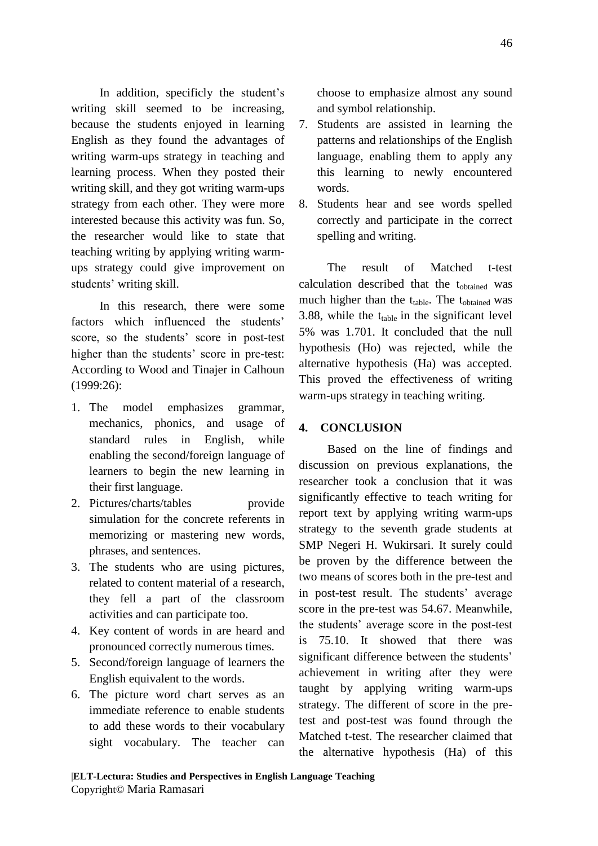In addition, specificly the student's writing skill seemed to be increasing, because the students enjoyed in learning English as they found the advantages of writing warm-ups strategy in teaching and learning process. When they posted their writing skill, and they got writing warm-ups strategy from each other. They were more interested because this activity was fun. So, the researcher would like to state that teaching writing by applying writing warmups strategy could give improvement on students' writing skill.

In this research, there were some factors which influenced the students' score, so the students' score in post-test higher than the students' score in pre-test: According to Wood and Tinajer in Calhoun (1999:26):

- 1. The model emphasizes grammar, mechanics, phonics, and usage of standard rules in English, while enabling the second/foreign language of learners to begin the new learning in their first language.
- 2. Pictures/charts/tables provide simulation for the concrete referents in memorizing or mastering new words, phrases, and sentences.
- 3. The students who are using pictures, related to content material of a research, they fell a part of the classroom activities and can participate too.
- 4. Key content of words in are heard and pronounced correctly numerous times.
- 5. Second/foreign language of learners the English equivalent to the words.
- 6. The picture word chart serves as an immediate reference to enable students to add these words to their vocabulary sight vocabulary. The teacher can

choose to emphasize almost any sound and symbol relationship.

- 7. Students are assisted in learning the patterns and relationships of the English language, enabling them to apply any this learning to newly encountered words.
- 8. Students hear and see words spelled correctly and participate in the correct spelling and writing.

The result of Matched t-test calculation described that the tobtained was much higher than the  $t_{table}$ . The  $t_{obtained}$  was 3.88, while the  $t_{table}$  in the significant level 5% was 1.701. It concluded that the null hypothesis (Ho) was rejected, while the alternative hypothesis (Ha) was accepted. This proved the effectiveness of writing warm-ups strategy in teaching writing.

## **4. CONCLUSION**

Based on the line of findings and discussion on previous explanations, the researcher took a conclusion that it was significantly effective to teach writing for report text by applying writing warm-ups strategy to the seventh grade students at SMP Negeri H. Wukirsari. It surely could be proven by the difference between the two means of scores both in the pre-test and in post-test result. The students' average score in the pre-test was 54.67. Meanwhile, the students' average score in the post-test is 75.10. It showed that there was significant difference between the students' achievement in writing after they were taught by applying writing warm-ups strategy. The different of score in the pretest and post-test was found through the Matched t-test. The researcher claimed that the alternative hypothesis (Ha) of this